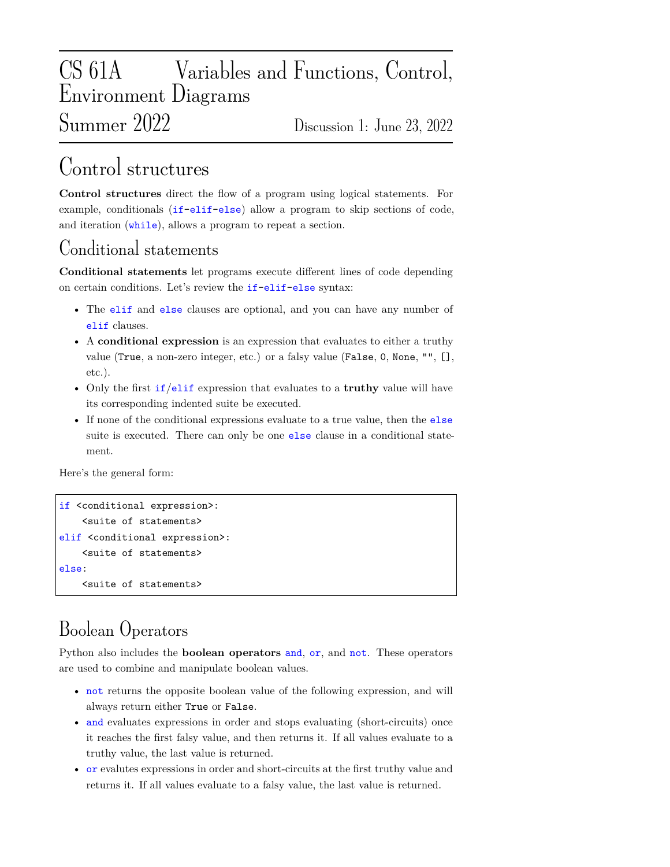# CS 61A Variables and Functions, Control, Environment Diagrams Summer 2022 Discussion 1: June 23, 2022

# Control structures

**Control structures** direct the flow of a program using logical statements. For example, conditionals (if-elif-else) allow a program to skip sections of code, and iteration (while), allows a program to repeat a section.

## Conditional statements

**Conditional statements** let programs execute different lines of code depending on certain conditions. Let's review the if-elif-else syntax:

- The elif and else clauses are optional, and you can have any number of elif clauses.
- A **conditional expression** is an expression that evaluates to either a truthy value (True, a non-zero integer, etc.) or a falsy value (False, 0, None, "", [], etc.).
- Only the first if/elif expression that evaluates to a **truthy** value will have its corresponding indented suite be executed.
- If none of the conditional expressions evaluate to a true value, then the else suite is executed. There can only be one else clause in a conditional statement.

Here's the general form:

```
if <conditional expression>:
    <suite of statements>
elif <conditional expression>:
    <suite of statements>
else:
    <suite of statements>
```
# Boolean Operators

Python also includes the **boolean operators** and, or, and not. These operators are used to combine and manipulate boolean values.

- not returns the opposite boolean value of the following expression, and will always return either True or False.
- and evaluates expressions in order and stops evaluating (short-circuits) once it reaches the first falsy value, and then returns it. If all values evaluate to a truthy value, the last value is returned.
- or evalutes expressions in order and short-circuits at the first truthy value and returns it. If all values evaluate to a falsy value, the last value is returned.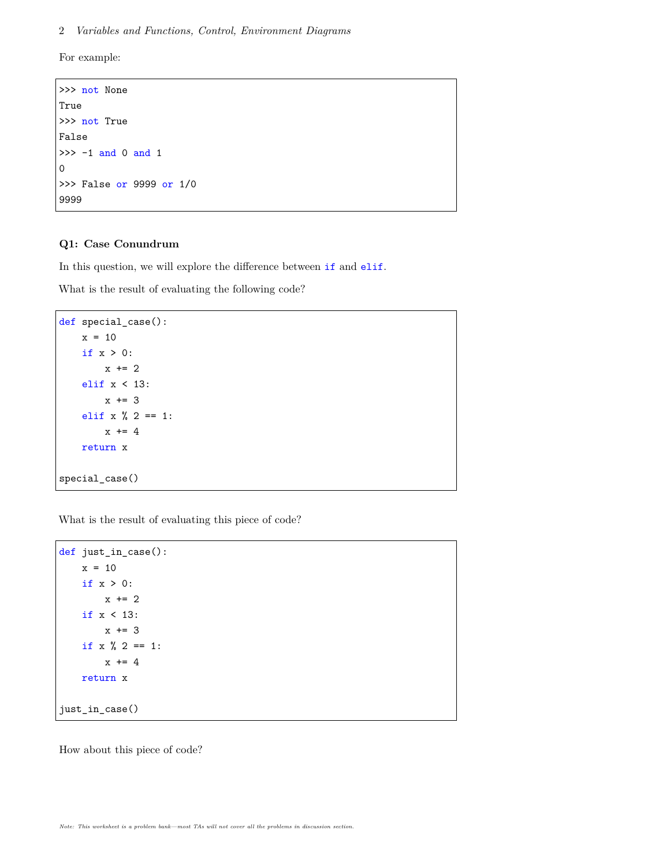For example:

```
>>> not None
True
>>> not True
False
\gg -1 and 0 and 1
0
>>> False or 9999 or 1/0
9999
```
#### **Q1: Case Conundrum**

In this question, we will explore the difference between if and elif.

What is the result of evaluating the following code?

```
def special_case():
   x = 10if x > 0:
        x \neq 2elif x < 13:
        x + = 3elif x % 2 == 1:
        x \neq 4return x
special_case()
```
What is the result of evaluating this piece of code?

```
def just_in_case():
    x = 10if x > 0:
        x \neq 2if x < 13:
         x \leftarrow + = 3if x \% 2 == 1:
         x + = 4return x
just_in_case()
```
How about this piece of code?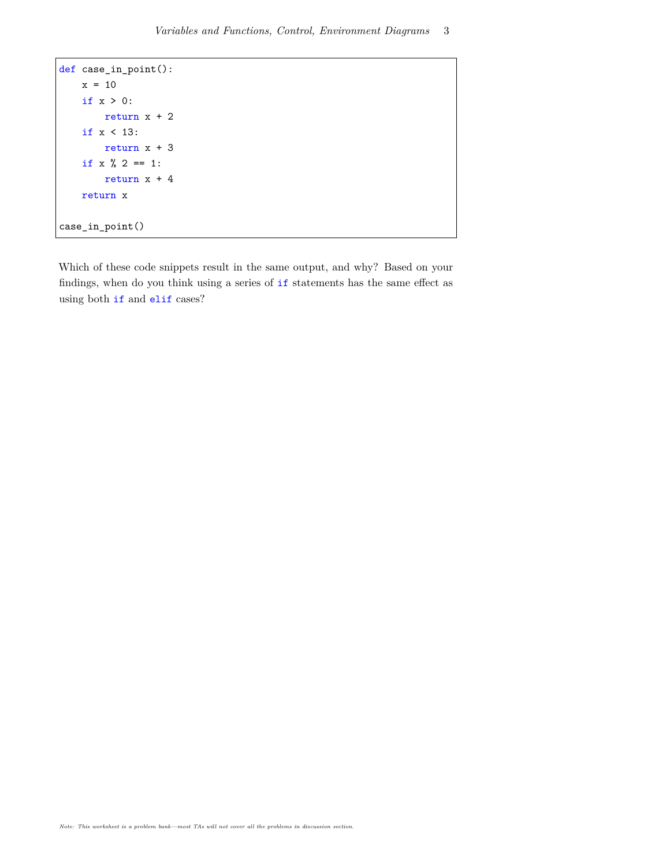```
def case_in_point():
   x = 10if x > 0:
       return x + 2
   if x < 13:
        return x + 3if x \% 2 == 1:
        return x + 4return x
case_in_point()
```
Which of these code snippets result in the same output, and why? Based on your findings, when do you think using a series of if statements has the same effect as using both if and elif cases?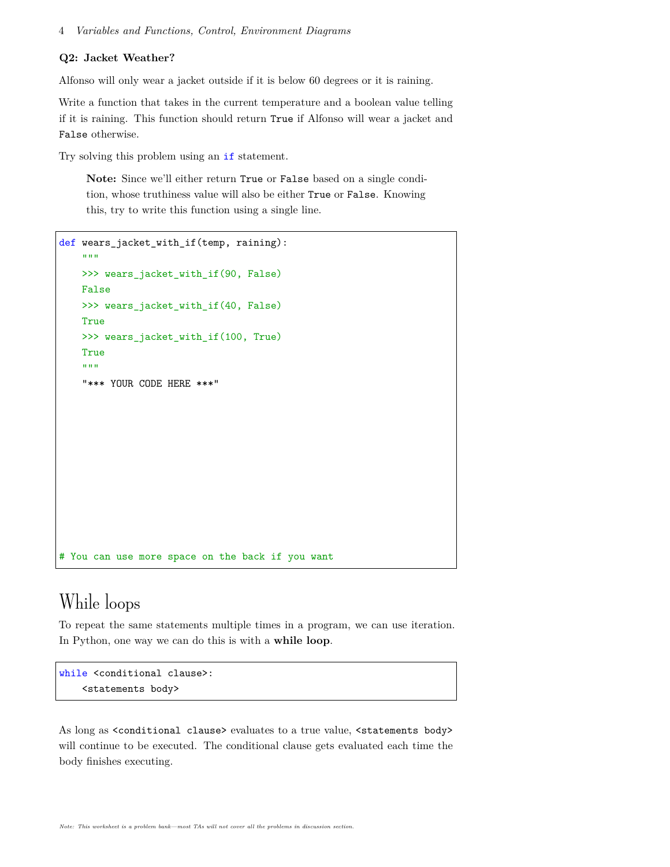#### **Q2: Jacket Weather?**

Alfonso will only wear a jacket outside if it is below 60 degrees or it is raining.

Write a function that takes in the current temperature and a boolean value telling if it is raining. This function should return True if Alfonso will wear a jacket and False otherwise.

Try solving this problem using an if statement.

**Note:** Since we'll either return True or False based on a single condition, whose truthiness value will also be either True or False. Knowing this, try to write this function using a single line.

```
def wears jacket with if(temp, raining):
    "'' """
   >>> wears_jacket_with_if(90, False)
   False
   >>> wears_jacket_with_if(40, False)
    True
    >>> wears_jacket_with_if(100, True)
    True
    """
    "*** YOUR CODE HERE ***"
# You can use more space on the back if you want
```
## While loops

To repeat the same statements multiple times in a program, we can use iteration. In Python, one way we can do this is with a **while loop**.

```
while <conditional clause>:
    <statements body>
```
As long as <conditional clause> evaluates to a true value, <statements body> will continue to be executed. The conditional clause gets evaluated each time the body finishes executing.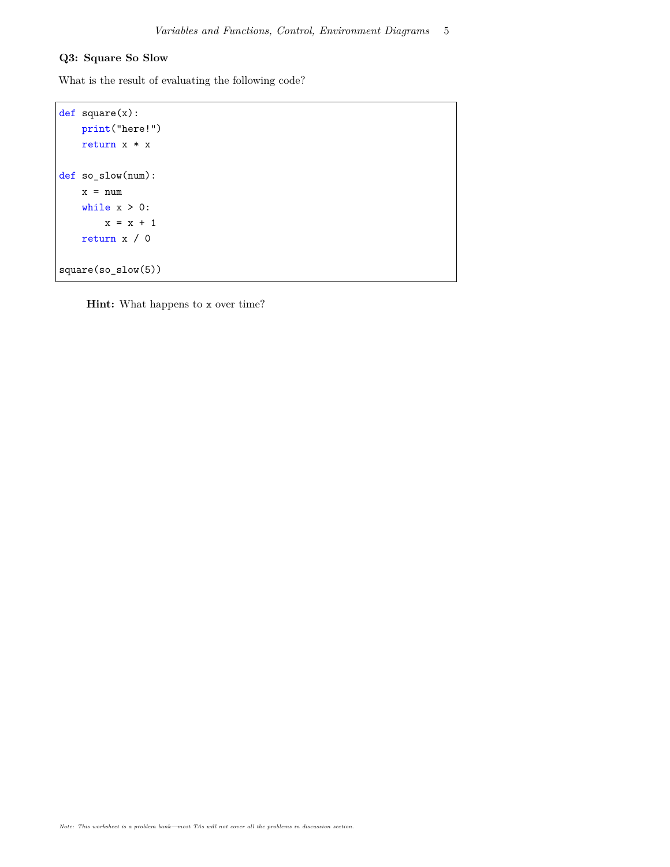#### **Q3: Square So Slow**

What is the result of evaluating the following code?

```
def square(x):
   print("here!")
   return x * x
def so_slow(num):
   x = numwhile x > 0:
       x = x + 1return x / 0
square(so_slow(5))
```
**Hint:** What happens to x over time?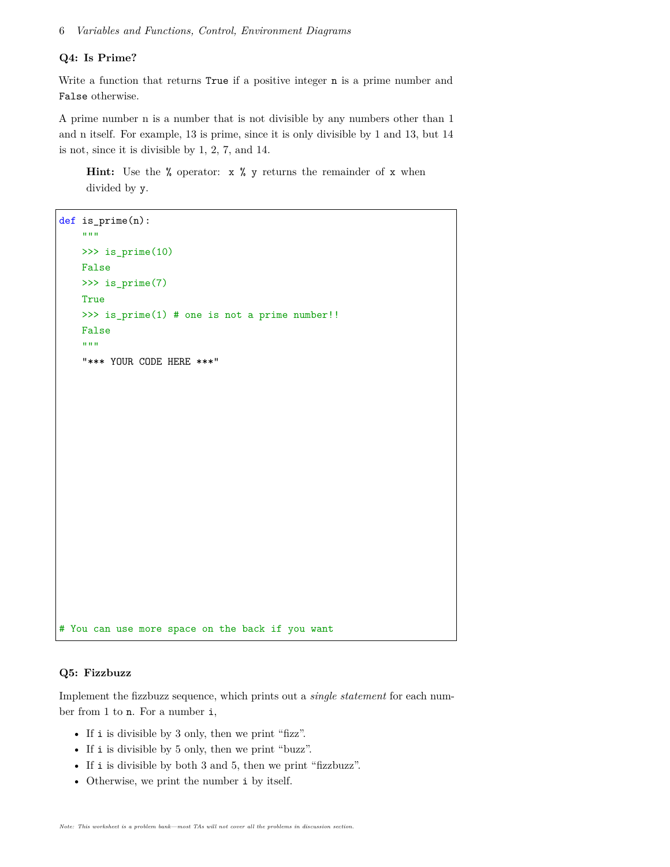#### **Q4: Is Prime?**

Write a function that returns True if a positive integer n is a prime number and False otherwise.

A prime number n is a number that is not divisible by any numbers other than 1 and n itself. For example, 13 is prime, since it is only divisible by 1 and 13, but 14 is not, since it is divisible by 1, 2, 7, and 14.

**Hint:** Use the % operator: x % y returns the remainder of x when divided by y.

```
def is_prime(n):
    ^{\rm m} ""
    >>> is_prime(10)
   False
    >>> is_prime(7)
    True
    >>> is_prime(1) # one is not a prime number!!
    False
    "'' ""
    "*** YOUR CODE HERE ***"
# You can use more space on the back if you want
```
#### **Q5: Fizzbuzz**

Implement the fizzbuzz sequence, which prints out a *single statement* for each number from 1 to n. For a number i,

- If i is divisible by 3 only, then we print "fizz".
- If i is divisible by 5 only, then we print "buzz".
- If i is divisible by both 3 and 5, then we print "fizzbuzz".
- Otherwise, we print the number i by itself.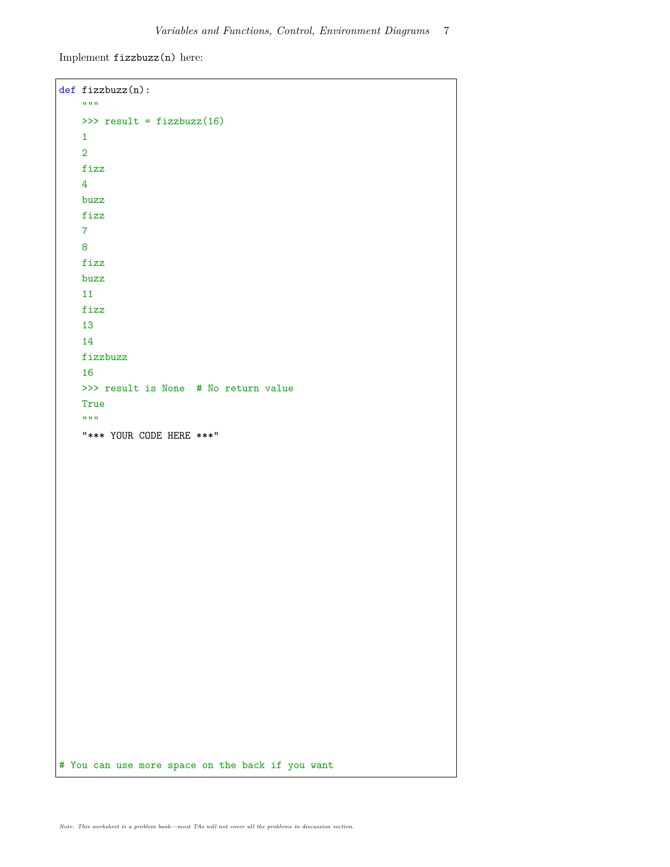Implement fizzbuzz(n) here:

```
def fizzbuzz(n):
    ^{\rm m} ""
    >>> result = fizzbuzz(16)
    1
    2
    fizz
    4
    buzz
    fizz
    7
    8
    fizz
    buzz
    11
    fizz
    13
    14
    fizzbuzz
    16
    >>> result is None # No return value
    True
    ^{\prime\prime\prime\prime\prime\prime\prime}"*** YOUR CODE HERE ***"
# You can use more space on the back if you want
```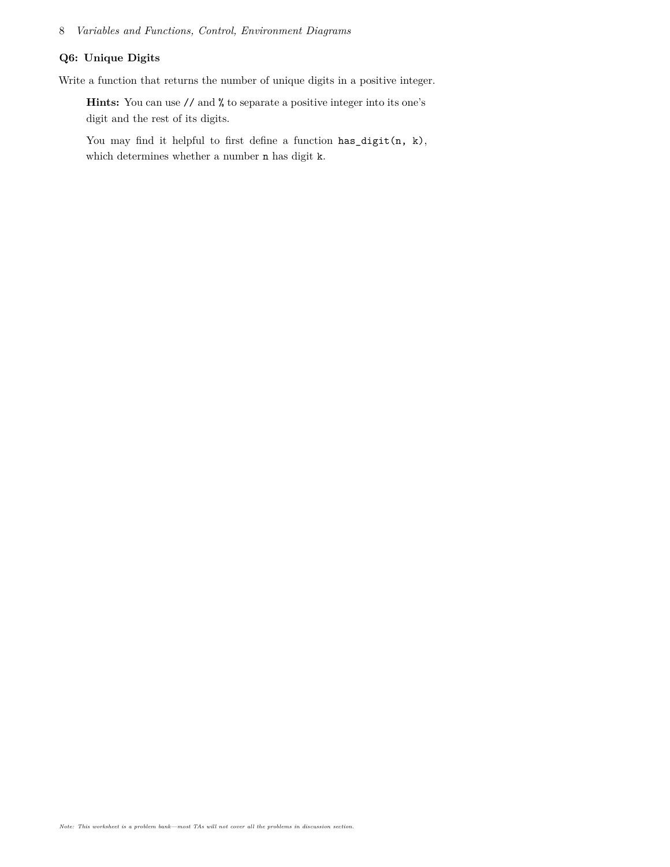#### **Q6: Unique Digits**

Write a function that returns the number of unique digits in a positive integer.

**Hints:** You can use // and % to separate a positive integer into its one's digit and the rest of its digits.

You may find it helpful to first define a function  $\texttt{has\_digit}(n, k)$ , which determines whether a number n has digit k.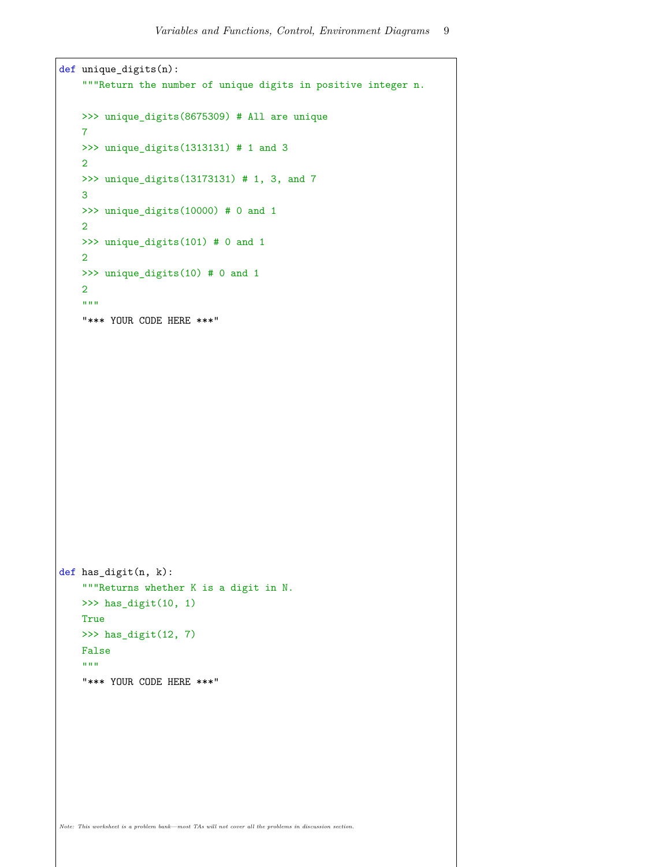```
def unique_digits(n):
    """Return the number of unique digits in positive integer n.
    >>> unique_digits(8675309) # All are unique
    7
    >>> unique_digits(1313131) # 1 and 3
    2
    >>> unique_digits(13173131) # 1, 3, and 7
    3
    >>> unique_digits(10000) # 0 and 1
    2
    >>> unique_digits(101) # 0 and 1
    2
    >>> unique_digits(10) # 0 and 1
    2
    "'' ""
    "*** YOUR CODE HERE ***"
def has_digit(n, k):
    """Returns whether K is a digit in N.
    >>> has_digit(10, 1)
    True
    >>> has_digit(12, 7)
    False
    " "" ""
    "*** YOUR CODE HERE ***"
Note: This worksheet is a problem bank—most TAs will not cover all the problems in discussion section.
```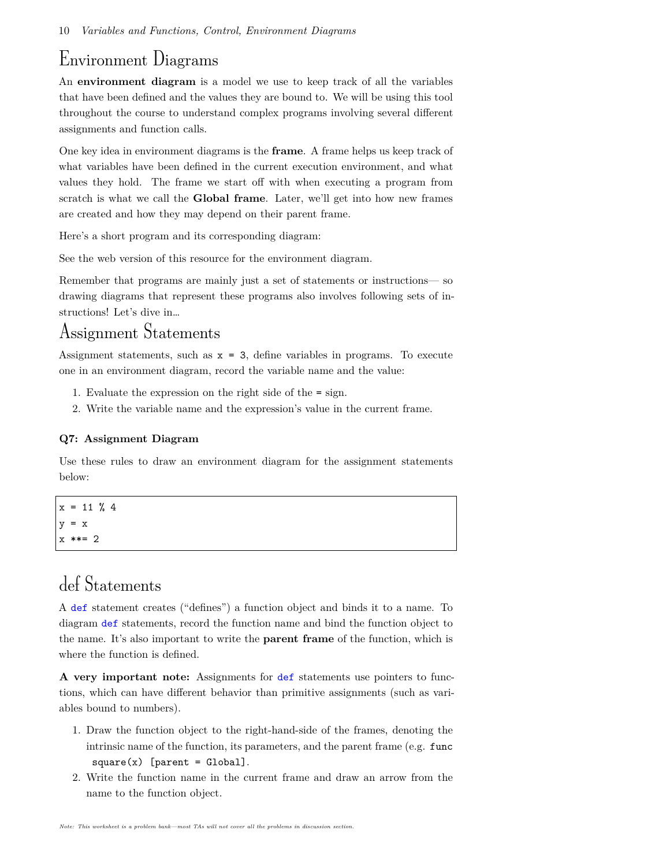### Environment Diagrams

An **environment diagram** is a model we use to keep track of all the variables that have been defined and the values they are bound to. We will be using this tool throughout the course to understand complex programs involving several different assignments and function calls.

One key idea in environment diagrams is the **frame**. A frame helps us keep track of what variables have been defined in the current execution environment, and what values they hold. The frame we start off with when executing a program from scratch is what we call the **Global frame**. Later, we'll get into how new frames are created and how they may depend on their parent frame.

Here's a short program and its corresponding diagram:

See the web version of this resource for the environment diagram.

Remember that programs are mainly just a set of statements or instructions— so drawing diagrams that represent these programs also involves following sets of instructions! Let's dive in…

### Assignment Statements

Assignment statements, such as  $x = 3$ , define variables in programs. To execute one in an environment diagram, record the variable name and the value:

- 1. Evaluate the expression on the right side of the = sign.
- 2. Write the variable name and the expression's value in the current frame.

#### **Q7: Assignment Diagram**

Use these rules to draw an environment diagram for the assignment statements below:

 $x = 11 \% 4$  $y = x$ x \*\*= 2

## def Statements

A def statement creates ("defines") a function object and binds it to a name. To diagram def statements, record the function name and bind the function object to the name. It's also important to write the **parent frame** of the function, which is where the function is defined.

**A very important note:** Assignments for def statements use pointers to functions, which can have different behavior than primitive assignments (such as variables bound to numbers).

- 1. Draw the function object to the right-hand-side of the frames, denoting the intrinsic name of the function, its parameters, and the parent frame (e.g. func  $square(x)$  [parent = Global].
- 2. Write the function name in the current frame and draw an arrow from the name to the function object.